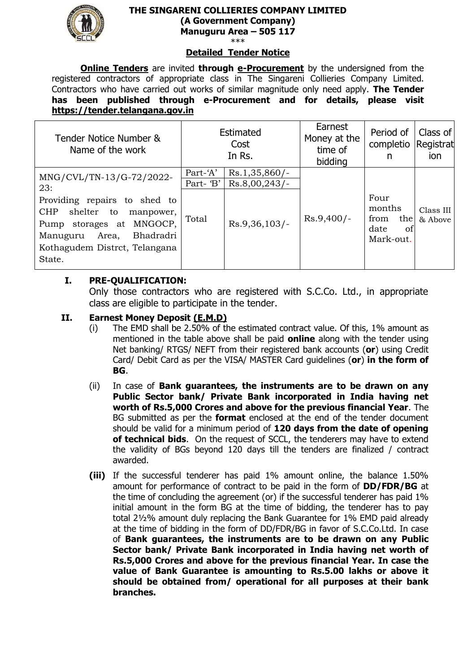

## **THE SINGARENI COLLIERIES COMPANY LIMITED**

**(A Government Company)**

**Manuguru Area – 505 117**

# \*\*\*

#### **Detailed Tender Notice**

**Online Tenders** are invited **through e-Procurement** by the undersigned from the registered contractors of appropriate class in The Singareni Collieries Company Limited. Contractors who have carried out works of similar magnitude only need apply. **The Tender has been published through e-Procurement and for details, please visit [https://tender.telangana.gov.in](https://tender.telangana.gov.in/)**

| Tender Notice Number &<br>Name of the work                                                                                                                                        | Estimated<br>Cost<br>In Rs. |                  | Earnest<br>Money at the<br>time of<br>bidding | Period of<br>completio<br>n                              | Class of<br>Registrat<br>ion |
|-----------------------------------------------------------------------------------------------------------------------------------------------------------------------------------|-----------------------------|------------------|-----------------------------------------------|----------------------------------------------------------|------------------------------|
| MNG/CVL/TN-13/G-72/2022-<br>23:                                                                                                                                                   | Part-'A'                    | $Rs.1,35,860/-$  |                                               |                                                          |                              |
|                                                                                                                                                                                   | Part- 'B'                   | $Rs.8,00,243/$ - |                                               |                                                          |                              |
| Providing repairs to shed to<br><b>CHP</b><br>shelter<br>to<br>manpower,<br>Pump storages at MNGOCP,<br>Bhadradri<br>Manuguru<br>Area,<br>Kothagudem Distrct, Telangana<br>State. | Total                       | $Rs.9,36,103/$ - | $Rs.9,400/-$                                  | Four<br>months<br>from<br>the<br>date<br>οt<br>Mark-out. | Class III<br>& Above         |

## **I. PRE-QUALIFICATION:**

Only those contractors who are registered with S.C.Co. Ltd., in appropriate class are eligible to participate in the tender.

#### **II. Earnest Money Deposit (E.M.D)**

- (i) The EMD shall be 2.50% of the estimated contract value. Of this, 1% amount as mentioned in the table above shall be paid **online** along with the tender using Net banking/ RTGS/ NEFT from their registered bank accounts (**or**) using Credit Card/ Debit Card as per the VISA/ MASTER Card guidelines (**or**) **in the form of BG**.
- (ii) In case of **Bank guarantees, the instruments are to be drawn on any Public Sector bank/ Private Bank incorporated in India having net worth of Rs.5,000 Crores and above for the previous financial Year**. The BG submitted as per the **format** enclosed at the end of the tender document should be valid for a minimum period of **120 days from the date of opening of technical bids**. On the request of SCCL, the tenderers may have to extend the validity of BGs beyond 120 days till the tenders are finalized / contract awarded.
- **(iii)** If the successful tenderer has paid 1% amount online, the balance 1.50% amount for performance of contract to be paid in the form of **DD/FDR/BG** at the time of concluding the agreement (or) if the successful tenderer has paid 1% initial amount in the form BG at the time of bidding, the tenderer has to pay total 2½% amount duly replacing the Bank Guarantee for 1% EMD paid already at the time of bidding in the form of DD/FDR/BG in favor of S.C.Co.Ltd. In case of **Bank guarantees, the instruments are to be drawn on any Public Sector bank/ Private Bank incorporated in India having net worth of Rs.5,000 Crores and above for the previous financial Year. In case the value of Bank Guarantee is amounting to Rs.5.00 lakhs or above it should be obtained from/ operational for all purposes at their bank branches.**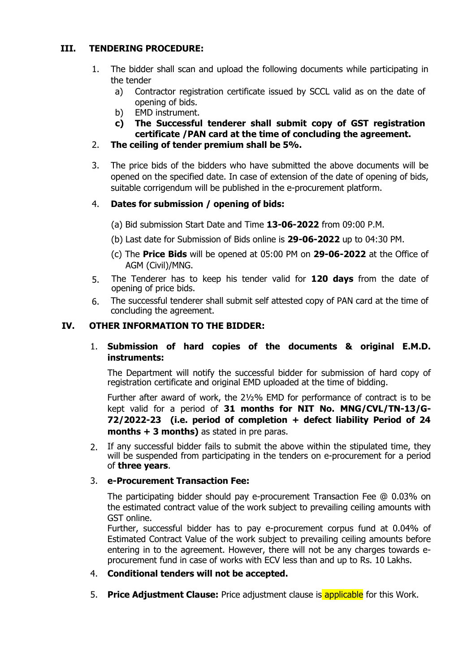## **III. TENDERING PROCEDURE:**

- 1. The bidder shall scan and upload the following documents while participating in the tender
	- a) Contractor registration certificate issued by SCCL valid as on the date of opening of bids.
	- b) EMD instrument.
	- **c) The Successful tenderer shall submit copy of GST registration certificate /PAN card at the time of concluding the agreement.**
- 2. **The ceiling of tender premium shall be 5%.**
- 3. The price bids of the bidders who have submitted the above documents will be opened on the specified date. In case of extension of the date of opening of bids, suitable corrigendum will be published in the e-procurement platform.

### 4. **Dates for submission / opening of bids:**

- (a) Bid submission Start Date and Time **13-06-2022** from 09:00 P.M.
- (b) Last date for Submission of Bids online is **29-06-2022** up to 04:30 PM.
- (c) The **Price Bids** will be opened at 05:00 PM on **29-06-2022** at the Office of AGM (Civil)/MNG.
- 5. The Tenderer has to keep his tender valid for **120 days** from the date of opening of price bids.
- 6. The successful tenderer shall submit self attested copy of PAN card at the time of concluding the agreement.

#### **IV. OTHER INFORMATION TO THE BIDDER:**

## 1. **Submission of hard copies of the documents & original E.M.D. instruments:**

The Department will notify the successful bidder for submission of hard copy of registration certificate and original EMD uploaded at the time of bidding.

Further after award of work, the 2½% EMD for performance of contract is to be kept valid for a period of **31 months for NIT No. MNG/CVL/TN-13/G-72/2022-23 (i.e. period of completion + defect liability Period of 24 months + 3 months)** as stated in pre paras.

2. If any successful bidder fails to submit the above within the stipulated time, they will be suspended from participating in the tenders on e-procurement for a period of **three years**.

#### 3. **e-Procurement Transaction Fee:**

The participating bidder should pay e-procurement Transaction Fee @ 0.03% on the estimated contract value of the work subject to prevailing ceiling amounts with GST online.

Further, successful bidder has to pay e-procurement corpus fund at 0.04% of Estimated Contract Value of the work subject to prevailing ceiling amounts before entering in to the agreement. However, there will not be any charges towards eprocurement fund in case of works with ECV less than and up to Rs. 10 Lakhs.

- 4. **Conditional tenders will not be accepted.**
- 5. **Price Adjustment Clause:** Price adjustment clause is applicable for this Work.